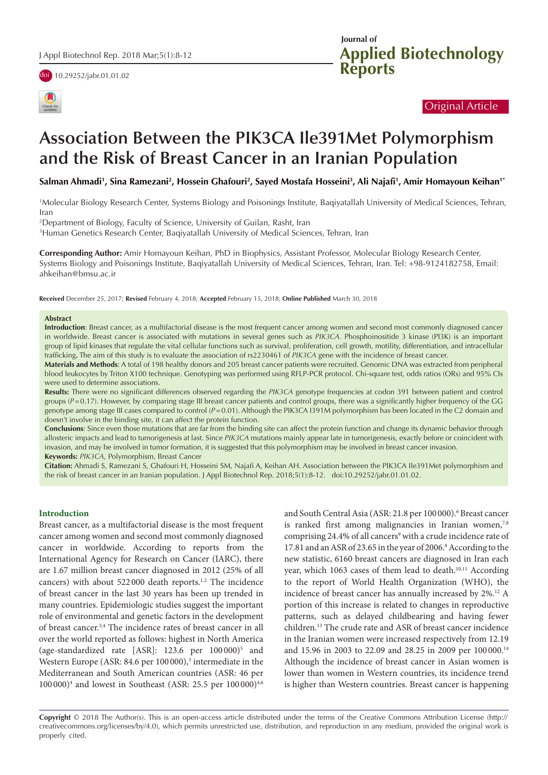





# Original Article

# **Association Between the PIK3CA Ile391Met Polymorphism and the Risk of Breast Cancer in an Iranian Population**

**Salman Ahmadi1 , Sina Ramezani2 , Hossein Ghafouri2 , Sayed Mostafa Hosseini3 , Ali Najafi1 , Amir Homayoun Keihan1\***

1 Molecular Biology Research Center, Systems Biology and Poisonings Institute, Baqiyatallah University of Medical Sciences, Tehran, Iran

2 Department of Biology, Faculty of Science, University of Guilan, Rasht, Iran

3 Human Genetics Research Center, Baqiyatallah University of Medical Sciences, Tehran, Iran

**Corresponding Author:** Amir Homayoun Keihan, PhD in Biophysics, Assistant Professor, Molecular Biology Research Center, Systems Biology and Poisonings Institute, Baqiyatallah University of Medical Sciences, Tehran, Iran. Tel: +98-9124182758, Email: ahkeihan@bmsu.ac.ir

**Received** December 25, 2017; **Revised** February 4, 2018; **Accepted** February 15, 2018; **Online Published** March 30, 2018

#### **Abstract**

**Introduction**: Breast cancer, as a multifactorial disease is the most frequent cancer among women and second most commonly diagnosed cancer in worldwide. Breast cancer is associated with mutations in several genes such as *PIK3CA.* Phosphoinositide 3 kinase (PI3K) is an important group of lipid kinases that regulate the vital cellular functions such as survival, proliferation, cell growth, motility, differentiation, and intracellular trafficking**.** The aim of this study is to evaluate the association of rs2230461 of *PIK3CA* gene with the incidence of breast cancer.

**Materials and Methods**: A total of 198 healthy donors and 205 breast cancer patients were recruited. Genomic DNA was extracted from peripheral blood leukocytes by Triton X100 technique. Genotyping was performed using RFLP-PCR protocol. Chi-square test, odds ratios (ORs) and 95% CIs were used to determine associations.

**Results:** There were no significant differences observed regarding the *PIK3CA* genotype frequencies at codon 391 between patient and control groups ( $P=0.17$ ). However, by comparing stage III breast cancer patients and control groups, there was a significantly higher frequency of the GG genotype among stage III cases compared to control (*P*=0.01). Although the PIK3CA I391M polymorphism has been located in the C2 domain and doesn't involve in the binding site, it can affect the protein function.

**Conclusions**: Since even those mutations that are far from the binding site can affect the protein function and change its dynamic behavior through allosteric impacts and lead to tumorigenesis at last. Since *PIK3CA* mutations mainly appear late in tumorigenesis, exactly before or coincident with invasion, and may be involved in tumor formation, it is suggested that this polymorphism may be involved in breast cancer invasion. **Keywords:** *PIK3CA*, Polymorphism, Breast Cancer

**Citation:** Ahmadi S, Ramezani S, Ghafouri H, Hosseini SM, Najafi A, Keihan AH. Association between the PIK3CA Ile391Met polymorphism and the risk of breast cancer in an Iranian population. J Appl Biotechnol Rep. 2018;5(1):8-12. doi:10.29252/jabr.01.01.02.

#### **Introduction**

Breast cancer, as a multifactorial disease is the most frequent cancer among women and second most commonly diagnosed cancer in worldwide. According to reports from the International Agency for Research on Cancer (IARC), there are 1.67 million breast cancer diagnosed in 2012 (25% of all cancers) with about 522000 death reports.<sup>1,2</sup> The incidence of breast cancer in the last 30 years has been up trended in many countries. Epidemiologic studies suggest the important role of environmental and genetic factors in the development of breast cancer.3,4 The incidence rates of breast cancer in all over the world reported as follows: highest in North America (age-standardized rate [ASR]: 123.6 per 100000)<sup>5</sup> and Western Europe (ASR: 84.6 per 100 000),<sup>3</sup> intermediate in the Mediterranean and South American countries (ASR: 46 per 100 000)<sup>4</sup> and lowest in Southeast (ASR: 25.5 per 100 000)<sup>4,6</sup>

and South Central Asia (ASR: 21.8 per 100 000).<sup>6</sup> Breast cancer is ranked first among malignancies in Iranian women,<sup>7,8</sup> comprising 24.4% of all cancers<sup>9</sup> with a crude incidence rate of 17.81 and an ASR of 23.65 in the year of 2006.<sup>8</sup> According to the new statistic, 6160 breast cancers are diagnosed in Iran each year, which 1063 cases of them lead to death.<sup>10,11</sup> According to the report of World Health Organization (WHO), the incidence of breast cancer has annually increased by 2%.12 A portion of this increase is related to changes in reproductive patterns, such as delayed childbearing and having fewer children.13 The crude rate and ASR of breast cancer incidence in the Iranian women were increased respectively from 12.19 and 15.96 in 2003 to 22.09 and 28.25 in 2009 per 100 000.14 Although the incidence of breast cancer in Asian women is lower than women in Western countries, its incidence trend is higher than Western countries. Breast cancer is happening

**Copyright** © 2018 The Author(s). This is an open-access article distributed under the terms of the Creative Commons Attribution License (http:// creativecommons.org/licenses/by/4.0), which permits unrestricted use, distribution, and reproduction in any medium, provided the original work is properly cited.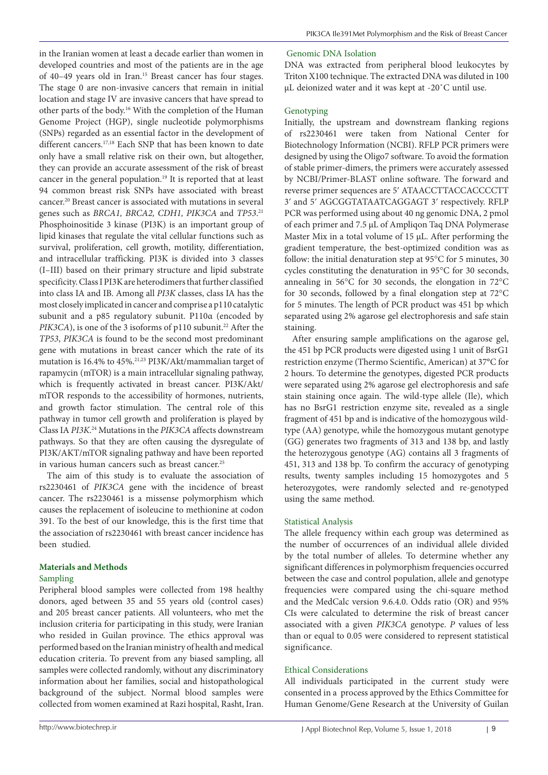in the Iranian women at least a decade earlier than women in developed countries and most of the patients are in the age of 40–49 years old in Iran.15 Breast cancer has four stages. The stage 0 are non-invasive cancers that remain in initial location and stage IV are invasive cancers that have spread to other parts of the body.16 With the completion of the Human Genome Project (HGP), single nucleotide polymorphisms (SNPs) regarded as an essential factor in the development of different cancers.<sup>17,18</sup> Each SNP that has been known to date only have a small relative risk on their own, but altogether, they can provide an accurate assessment of the risk of breast cancer in the general population.19 It is reported that at least 94 common breast risk SNPs have associated with breast cancer.20 Breast cancer is associated with mutations in several genes such as *BRCA1, BRCA2, CDH1, PIK3CA* and *TP53*. 21 Phosphoinositide 3 kinase (PI3K) is an important group of lipid kinases that regulate the vital cellular functions such as survival, proliferation, cell growth, motility, differentiation, and intracellular trafficking. PI3K is divided into 3 classes (I–III) based on their primary structure and lipid substrate specificity. Class I PI3K are heterodimers that further classified into class IA and IB. Among all *PI3K* classes, class IA has the most closely implicated in cancer and comprise a p110 catalytic subunit and a p85 regulatory subunit. P110α (encoded by *PIK3CA*), is one of the 3 isoforms of p110 subunit.<sup>22</sup> After the *TP53*, *PIK3CA* is found to be the second most predominant gene with mutations in breast cancer which the rate of its mutation is 16.4% to 45%.21,23 PI3K/Akt/mammalian target of rapamycin (mTOR) is a main intracellular signaling pathway, which is frequently activated in breast cancer. PI3K/Akt/ mTOR responds to the accessibility of hormones, nutrients, and growth factor stimulation. The central role of this pathway in tumor cell growth and proliferation is played by Class IA *PI3K*. 24 Mutations in the *PIK3CA* affects downstream pathways. So that they are often causing the dysregulate of PI3K/AKT/mTOR signaling pathway and have been reported in various human cancers such as breast cancer.<sup>25</sup> The aim of this study is to evaluate the association of

rs2230461 of *PIK3CA* gene with the incidence of breast cancer. The rs2230461 is a missense polymorphism which causes the replacement of isoleucine to methionine at codon 391. To the best of our knowledge, this is the first time that the association of rs2230461 with breast cancer incidence has been studied.

## **Materials and Methods**

## Sampling

Peripheral blood samples were collected from 198 healthy donors, aged between 35 and 55 years old (control cases) and 205 breast cancer patients. All volunteers, who met the inclusion criteria for participating in this study, were Iranian who resided in Guilan province. The ethics approval was performed based on the Iranian ministry of health and medical education criteria. To prevent from any biased sampling, all samples were collected randomly, without any discriminatory information about her families, social and histopathological background of the subject. Normal blood samples were collected from women examined at Razi hospital, Rasht, Iran.

# Genomic DNA Isolation

DNA was extracted from peripheral blood leukocytes by Triton X100 technique. The extracted DNA was diluted in 100 µL deionized water and it was kept at -20˚C until use.

# Genotyping

Initially, the upstream and downstream flanking regions of rs2230461 were taken from National Center for Biotechnology Information (NCBI). RFLP PCR primers were designed by using the Oligo7 software. To avoid the formation of stable primer-dimers, the primers were accurately assessed by NCBI/Primer-BLAST online software. The forward and reverse primer sequences are 5ʹ ATAACCTTACCACCCCTT 3ʹ and 5ʹ AGCGGTATAATCAGGAGT 3ʹ respectively. RFLP PCR was performed using about 40 ng genomic DNA, 2 pmol of each primer and 7.5 µL of Ampliqon Taq DNA Polymerase Master Mix in a total volume of 15 μL. After performing the gradient temperature, the best-optimized condition was as follow: the initial denaturation step at 95°C for 5 minutes, 30 cycles constituting the denaturation in 95°C for 30 seconds, annealing in 56°C for 30 seconds, the elongation in 72°C for 30 seconds, followed by a final elongation step at 72°C for 5 minutes. The length of PCR product was 451 bp which separated using 2% agarose gel electrophoresis and safe stain staining.

After ensuring sample amplifications on the agarose gel, the 451 bp PCR products were digested using 1 unit of BsrG1 restriction enzyme (Thermo Scientific, American) at 37°C for 2 hours. To determine the genotypes, digested PCR products were separated using 2% agarose gel electrophoresis and safe stain staining once again. The wild-type allele (Ile), which has no BsrG1 restriction enzyme site, revealed as a single fragment of 451 bp and is indicative of the homozygous wildtype (AA) genotype, while the homozygous mutant genotype (GG) generates two fragments of 313 and 138 bp, and lastly the heterozygous genotype (AG) contains all 3 fragments of 451, 313 and 138 bp. To confirm the accuracy of genotyping results, twenty samples including 15 homozygotes and 5 heterozygotes, were randomly selected and re-genotyped using the same method.

# Statistical Analysis

The allele frequency within each group was determined as the number of occurrences of an individual allele divided by the total number of alleles. To determine whether any significant differences in polymorphism frequencies occurred between the case and control population, allele and genotype frequencies were compared using the chi-square method and the MedCalc version 9.6.4.0. Odds ratio (OR) and 95% CIs were calculated to determine the risk of breast cancer associated with a given *PIK3CA* genotype. *P* values of less than or equal to 0.05 were considered to represent statistical significance.

# Ethical Considerations

All individuals participated in the current study were consented in a process approved by the Ethics Committee for Human Genome/Gene Research at the University of Guilan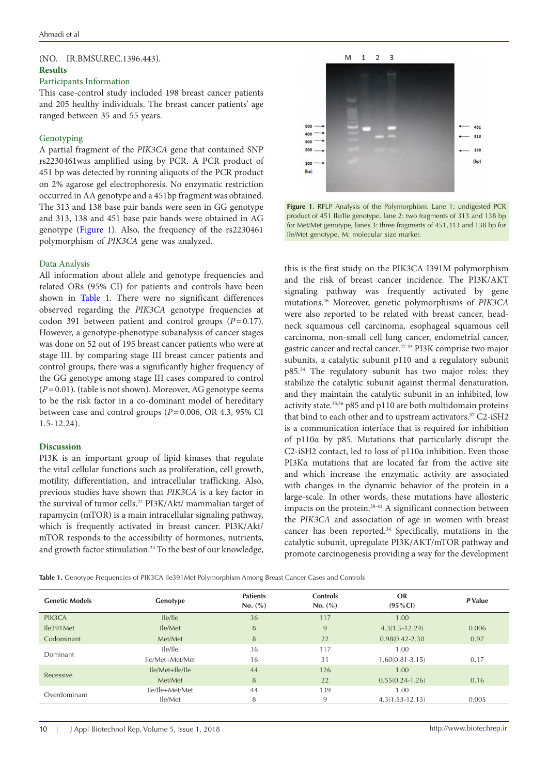## (NO. IR.BMSU.REC.1396.443). **Results**

#### Participants Information

This case-control study included 198 breast cancer patients and 205 healthy individuals. The breast cancer patients' age ranged between 35 and 55 years.

## Genotyping

A partial fragment of the *PIK3CA* gene that contained SNP rs2230461was amplified using by PCR. A PCR product of 451 bp was detected by running aliquots of the PCR product on 2% agarose gel electrophoresis. No enzymatic restriction occurred in AA genotype and a 451bp fragment was obtained. The 313 and 138 base pair bands were seen in GG genotype and 313, 138 and 451 base pair bands were obtained in AG genotype ([Figure 1](#page-2-0)). Also, the frequency of the rs2230461 polymorphism of *PIK3CA* gene was analyzed.

## Data Analysis

All information about allele and genotype frequencies and related ORs (95% CI) for patients and controls have been shown in [Table 1](#page-2-1). There were no significant differences observed regarding the *PIK3CA* genotype frequencies at codon 391 between patient and control groups (*P*=0.17). However, a genotype-phenotype subanalysis of cancer stages was done on 52 out of 195 breast cancer patients who were at stage III. by comparing stage III breast cancer patients and control groups, there was a significantly higher frequency of the GG genotype among stage III cases compared to control (*P*=0.01). (table is not shown). Moreover, AG genotype seems to be the risk factor in a co-dominant model of hereditary between case and control groups (*P*=0.006, OR 4.3, 95% CI 1.5-12.24).

## **Discussion**

PI3K is an important group of lipid kinases that regulate the vital cellular functions such as proliferation, cell growth, motility, differentiation, and intracellular trafficking. Also, previous studies have shown that *PIK3CA* is a key factor in the survival of tumor cells.<sup>22</sup> PI3K/Akt/ mammalian target of rapamycin (mTOR) is a main intracellular signaling pathway, which is frequently activated in breast cancer. PI3K/Akt/ mTOR responds to the accessibility of hormones, nutrients, and growth factor stimulation.24 To the best of our knowledge,

<span id="page-2-0"></span>

**Figure 1**. RFLP Analysis of the Polymorphism. Lane 1: undigested PCR product of 451 Ile/Ile genotype, lane 2: two fragments of 313 and 138 bp for Met/Met genotype, lanes 3: three fragments of 451,313 and 138 bp for Ile/Met genotype. M: molecular size marker.

this is the first study on the PIK3CA I391M polymorphism and the risk of breast cancer incidence. The PI3K/AKT signaling pathway was frequently activated by gene mutations.26 Moreover, genetic polymorphisms of *PIK3CA* were also reported to be related with breast cancer, headneck squamous cell carcinoma, esophageal squamous cell carcinoma, non-small cell lung cancer, endometrial cancer, gastric cancer and rectal cancer.27-33 PI3K comprise two major subunits, a catalytic subunit p110 and a regulatory subunit p85.34 The regulatory subunit has two major roles: they stabilize the catalytic subunit against thermal denaturation, and they maintain the catalytic subunit in an inhibited, low activity state.35,36 p85 and p110 are both multidomain proteins that bind to each other and to upstream activators.<sup>37</sup> C2-iSH2 is a communication interface that is required for inhibition of p110α by p85. Mutations that particularly disrupt the C2-iSH2 contact, led to loss of p110α inhibition. Even those PI3Kα mutations that are located far from the active site and which increase the enzymatic activity are associated with changes in the dynamic behavior of the protein in a large-scale. In other words, these mutations have allosteric impacts on the protein.<sup>38-41</sup> A significant connection between the *PIK3CA* and association of age in women with breast cancer has been reported.<sup>34</sup> Specifically, mutations in the catalytic subunit, upregulate PI3K/AKT/mTOR pathway and promote carcinogenesis providing a way for the development

<span id="page-2-1"></span>**Table 1.** Genotype Frequencies of PIK3CA Ile391Met Polymorphism Among Breast Cancer Cases and Controls

| <b>Genetic Models</b> | Genotype           | <b>Patients</b><br>No. (%) | <b>Controls</b><br>No. (%) | <b>OR</b><br>$(95\% CI)$ | P Value |
|-----------------------|--------------------|----------------------------|----------------------------|--------------------------|---------|
| PIK3CA                | lle/lle            | 36                         | 117                        | 1.00                     |         |
| Ile391Met             | Ile/Met            | 8                          | 9                          | $4.3(1.5-12.24)$         | 0.006   |
| Codominant            | Met/Met            | 8                          | 22                         | $0.98(0.42 - 2.30)$      | 0.97    |
| Dominant              | $I$ $e/I$ $e$      | 36                         | 117                        | 1.00                     |         |
|                       | Ile/Met+Met/Met    | 16                         | 31                         | $1.60(0.81 - 3.15)$      | 0.17    |
| Recessive             | $I$ le/Met+Ile/Ile | 44                         | 126                        | 1.00                     |         |
|                       | Met/Met            | 8                          | 22                         | $0.55(0.24-1.26)$        | 0.16    |
| Overdominant          | Ile/Ile+Met/Met    | 44                         | 139                        | 1.00                     |         |
|                       | Ile/Met            | 8                          | 9                          | $4.3(1.53-12.13)$        | 0.005   |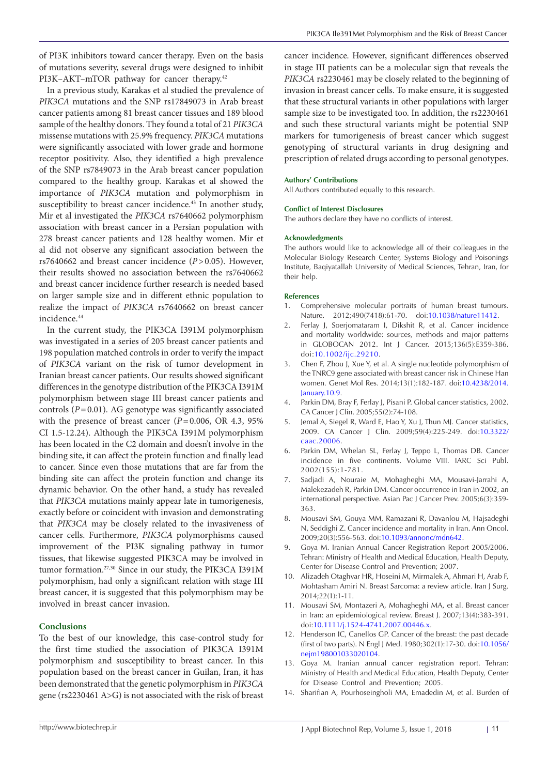of PI3K inhibitors toward cancer therapy. Even on the basis of mutations severity, several drugs were designed to inhibit PI3K-AKT-mTOR pathway for cancer therapy.<sup>42</sup>

In a previous study, Karakas et al studied the prevalence of *PIK3CA* mutations and the SNP rs17849073 in Arab breast cancer patients among 81 breast cancer tissues and 189 blood sample of the healthy donors. They found a total of 21 *PIK3CA* missense mutations with 25.9% frequency. *PIK3CA* mutations were significantly associated with lower grade and hormone receptor positivity. Also, they identified a high prevalence of the SNP rs7849073 in the Arab breast cancer population compared to the healthy group. Karakas et al showed the importance of *PIK3CA* mutation and polymorphism in susceptibility to breast cancer incidence.<sup>43</sup> In another study, Mir et al investigated the *PIK3CA* rs7640662 polymorphism association with breast cancer in a Persian population with 278 breast cancer patients and 128 healthy women. Mir et al did not observe any significant association between the rs7640662 and breast cancer incidence (*P*>0.05). However, their results showed no association between the rs7640662 and breast cancer incidence further research is needed based on larger sample size and in different ethnic population to realize the impact of *PIK3CA* rs7640662 on breast cancer incidence.44

In the current study, the PIK3CA I391M polymorphism was investigated in a series of 205 breast cancer patients and 198 population matched controls in order to verify the impact of *PIK3CA* variant on the risk of tumor development in Iranian breast cancer patients. Our results showed significant differences in the genotype distribution of the PIK3CA I391M polymorphism between stage III breast cancer patients and controls  $(P=0.01)$ . AG genotype was significantly associated with the presence of breast cancer ( $P=0.006$ , OR 4.3, 95% CI 1.5-12.24). Although the PIK3CA I391M polymorphism has been located in the C2 domain and doesn't involve in the binding site, it can affect the protein function and finally lead to cancer. Since even those mutations that are far from the binding site can affect the protein function and change its dynamic behavior. On the other hand, a study has revealed that *PIK3CA* mutations mainly appear late in tumorigenesis, exactly before or coincident with invasion and demonstrating that *PIK3CA* may be closely related to the invasiveness of cancer cells. Furthermore, *PIK3CA* polymorphisms caused improvement of the PI3K signaling pathway in tumor tissues, that likewise suggested PIK3CA may be involved in tumor formation.27,30 Since in our study, the PIK3CA I391M polymorphism, had only a significant relation with stage III breast cancer, it is suggested that this polymorphism may be involved in breast cancer invasion.

## **Conclusions**

To the best of our knowledge, this case-control study for the first time studied the association of PIK3CA I391M polymorphism and susceptibility to breast cancer. In this population based on the breast cancer in Guilan, Iran, it has been demonstrated that the genetic polymorphism in *PIK3CA* gene (rs2230461 A>G) is not associated with the risk of breast

cancer incidence. However, significant differences observed in stage III patients can be a molecular sign that reveals the *PIK3CA* rs2230461 may be closely related to the beginning of invasion in breast cancer cells. To make ensure, it is suggested that these structural variants in other populations with larger sample size to be investigated too. In addition, the rs2230461 and such these structural variants might be potential SNP markers for tumorigenesis of breast cancer which suggest genotyping of structural variants in drug designing and prescription of related drugs according to personal genotypes.

#### **Authors' Contributions**

All Authors contributed equally to this research.

#### **Conflict of Interest Disclosures**

The authors declare they have no conflicts of interest.

#### **Acknowledgments**

The authors would like to acknowledge all of their colleagues in the Molecular Biology Research Center, Systems Biology and Poisonings Institute, Baqiyatallah University of Medical Sciences, Tehran, Iran, for their help.

#### **References**

- 1. Comprehensive molecular portraits of human breast tumours. Nature. 2012;490(7418):61-70. doi[:10.1038/nature11412](https://doi.org/10.1038/nature11412).
- 2. Ferlay J, Soerjomataram I, Dikshit R, et al. Cancer incidence and mortality worldwide: sources, methods and major patterns in GLOBOCAN 2012. Int J Cancer. 2015;136(5):E359-386. doi:[10.1002/ijc.29210](https://doi.org/10.1002/ijc.29210).
- 3. Chen F, Zhou J, Xue Y, et al. A single nucleotide polymorphism of the TNRC9 gene associated with breast cancer risk in Chinese Han women. Genet Mol Res. 2014;13(1):182-187. doi:[10.4238/2014.](https://doi.org/10.4238/2014.January.10.9) [January.10.9.](https://doi.org/10.4238/2014.January.10.9)
- Parkin DM, Bray F, Ferlay J, Pisani P. Global cancer statistics, 2002. CA Cancer J Clin. 2005;55(2):74-108.
- 5. Jemal A, Siegel R, Ward E, Hao Y, Xu J, Thun MJ. Cancer statistics, 2009. CA Cancer J Clin. 2009;59(4):225-249. doi:[10.3322/](https://doi.org/10.3322/caac.20006) [caac.20006.](https://doi.org/10.3322/caac.20006)
- 6. Parkin DM, Whelan SL, Ferlay J, Teppo L, Thomas DB. Cancer incidence in five continents. Volume VIII. IARC Sci Publ. 2002(155):1-781.
- 7. Sadjadi A, Nouraie M, Mohagheghi MA, Mousavi-Jarrahi A, Malekezadeh R, Parkin DM. Cancer occurrence in Iran in 2002, an international perspective. Asian Pac J Cancer Prev. 2005;6(3):359- 363.
- 8. Mousavi SM, Gouya MM, Ramazani R, Davanlou M, Hajsadeghi N, Seddighi Z. Cancer incidence and mortality in Iran. Ann Oncol. 2009;20(3):556-563. doi[:10.1093/annonc/mdn642](https://doi.org/10.1093/annonc/mdn642).
- 9. Goya M. Iranian Annual Cancer Registration Report 2005/2006. Tehran: Ministry of Health and Medical Education, Health Deputy, Center for Disease Control and Prevention; 2007.
- 10. Alizadeh Otaghvar HR, Hoseini M, Mirmalek A, Ahmari H, Arab F, Mohtasham Amiri N. Breast Sarcoma: a review article. Iran J Surg. 2014;22(1):1-11.
- 11. Mousavi SM, Montazeri A, Mohagheghi MA, et al. Breast cancer in Iran: an epidemiological review. Breast J. 2007;13(4):383-391. doi[:10.1111/j.1524-4741.2007.00446.x.](https://doi.org/10.1111/j.1524-4741.2007.00446.x)
- 12. Henderson IC, Canellos GP. Cancer of the breast: the past decade (first of two parts). N Engl J Med. 1980;302(1):17-30. doi:[10.1056/](https://doi.org/10.1056/nejm198001033020104) [nejm198001033020104.](https://doi.org/10.1056/nejm198001033020104)
- 13. Goya M. Iranian annual cancer registration report. Tehran: Ministry of Health and Medical Education, Health Deputy, Center for Disease Control and Prevention; 2005.
- 14. Sharifian A, Pourhoseingholi MA, Emadedin M, et al. Burden of